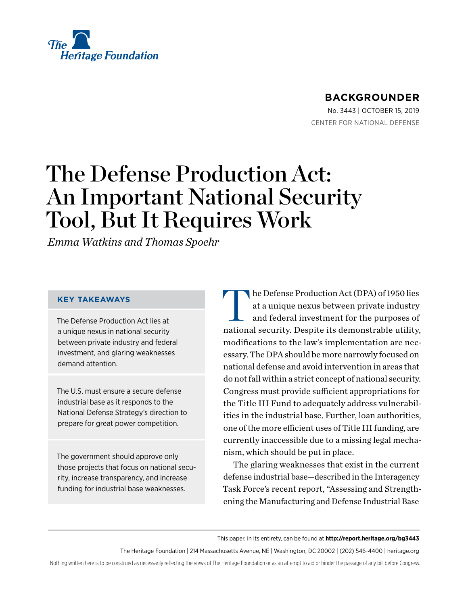

# **BACKGROUNDER**

No. 3443 | October 15, 2019 CENTER FOR NATIONAL DEFENSE

# The Defense Production Act: An Important National Security Tool, But It Requires Work

*Emma Watkins and Thomas Spoehr*

### **KEY TAKEAWAYS**

The Defense Production Act lies at a unique nexus in national security between private industry and federal investment, and glaring weaknesses demand attention.

The U.S. must ensure a secure defense industrial base as it responds to the National Defense Strategy's direction to prepare for great power competition.

The government should approve only those projects that focus on national security, increase transparency, and increase funding for industrial base weaknesses.

The Defense Production Act (DPA) of 1950 lies at a unique nexus between private industry and federal investment for the purposes of national security. Despite its demonstrable utility, modifications to the law's implementation are necessary. The DPA should be more narrowly focused on national defense and avoid intervention in areas that do not fall within a strict concept of national security. Congress must provide sufficient appropriations for the Title III Fund to adequately address vulnerabilities in the industrial base. Further, loan authorities, one of the more efficient uses of Title III funding, are currently inaccessible due to a missing legal mechanism, which should be put in place.

The glaring weaknesses that exist in the current defense industrial base—described in the Interagency Task Force's recent report, "Assessing and Strengthening the Manufacturing and Defense Industrial Base

This paper, in its entirety, can be found at **http://report.heritage.org/bg3443**

The Heritage Foundation | 214 Massachusetts Avenue, NE | Washington, DC 20002 | (202) 546-4400 | [heritage.org](http://www.heritage.org)

Nothing written here is to be construed as necessarily reflecting the views of The Heritage Foundation or as an attempt to aid or hinder the passage of any bill before Congress.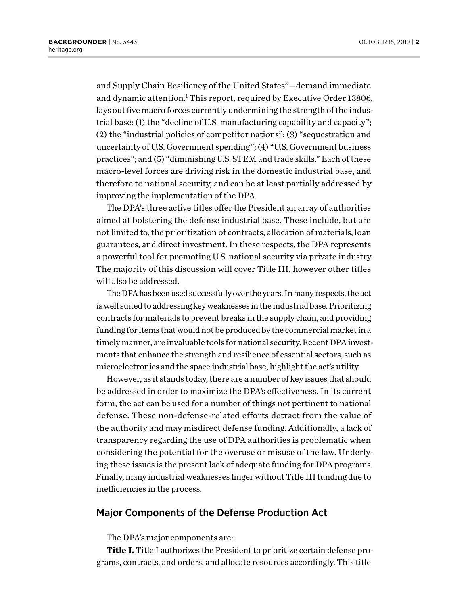and Supply Chain Resiliency of the United States"—demand immediate and dynamic attention.<sup>1</sup> This report, required by Executive Order 13806, lays out five macro forces currently undermining the strength of the industrial base: (1) the "decline of U.S. manufacturing capability and capacity"; (2) the "industrial policies of competitor nations"; (3) "sequestration and uncertainty of U.S. Government spending"; (4) "U.S. Government business practices"; and (5) "diminishing U.S. STEM and trade skills." Each of these macro-level forces are driving risk in the domestic industrial base, and therefore to national security, and can be at least partially addressed by improving the implementation of the DPA.

The DPA's three active titles offer the President an array of authorities aimed at bolstering the defense industrial base. These include, but are not limited to, the prioritization of contracts, allocation of materials, loan guarantees, and direct investment. In these respects, the DPA represents a powerful tool for promoting U.S. national security via private industry. The majority of this discussion will cover Title III, however other titles will also be addressed.

The DPA has been used successfully over the years. In many respects, the act is well suited to addressing key weaknesses in the industrial base. Prioritizing contracts for materials to prevent breaks in the supply chain, and providing funding for items that would not be produced by the commercial market in a timely manner, are invaluable tools for national security. Recent DPA investments that enhance the strength and resilience of essential sectors, such as microelectronics and the space industrial base, highlight the act's utility.

However, as it stands today, there are a number of key issues that should be addressed in order to maximize the DPA's effectiveness. In its current form, the act can be used for a number of things not pertinent to national defense. These non-defense-related efforts detract from the value of the authority and may misdirect defense funding. Additionally, a lack of transparency regarding the use of DPA authorities is problematic when considering the potential for the overuse or misuse of the law. Underlying these issues is the present lack of adequate funding for DPA programs. Finally, many industrial weaknesses linger without Title III funding due to inefficiencies in the process.

### Major Components of the Defense Production Act

The DPA's major components are:

**Title I.** Title I authorizes the President to prioritize certain defense programs, contracts, and orders, and allocate resources accordingly. This title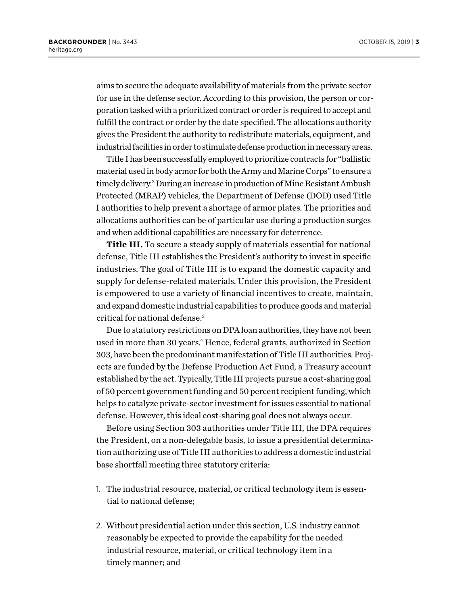aims to secure the adequate availability of materials from the private sector for use in the defense sector. According to this provision, the person or corporation tasked with a prioritized contract or order is required to accept and fulfill the contract or order by the date specified. The allocations authority gives the President the authority to redistribute materials, equipment, and industrial facilities in order to stimulate defense production in necessary areas.

Title I has been successfully employed to prioritize contracts for "ballistic material used in body armor for both the Army and Marine Corps" to ensure a timely delivery.<sup>2</sup> During an increase in production of Mine Resistant Ambush Protected (MRAP) vehicles, the Department of Defense (DOD) used Title I authorities to help prevent a shortage of armor plates. The priorities and allocations authorities can be of particular use during a production surges and when additional capabilities are necessary for deterrence.

**Title III.** To secure a steady supply of materials essential for national defense, Title III establishes the President's authority to invest in specific industries. The goal of Title III is to expand the domestic capacity and supply for defense-related materials. Under this provision, the President is empowered to use a variety of financial incentives to create, maintain, and expand domestic industrial capabilities to produce goods and material critical for national defense.3

Due to statutory restrictions on DPA loan authorities, they have not been used in more than 30 years.4 Hence, federal grants, authorized in Section 303, have been the predominant manifestation of Title III authorities. Projects are funded by the Defense Production Act Fund, a Treasury account established by the act. Typically, Title III projects pursue a cost-sharing goal of 50 percent government funding and 50 percent recipient funding, which helps to catalyze private-sector investment for issues essential to national defense. However, this ideal cost-sharing goal does not always occur.

Before using Section 303 authorities under Title III, the DPA requires the President, on a non-delegable basis, to issue a presidential determination authorizing use of Title III authorities to address a domestic industrial base shortfall meeting three statutory criteria:

- 1. The industrial resource, material, or critical technology item is essential to national defense;
- 2. Without presidential action under this section, U.S. industry cannot reasonably be expected to provide the capability for the needed industrial resource, material, or critical technology item in a timely manner; and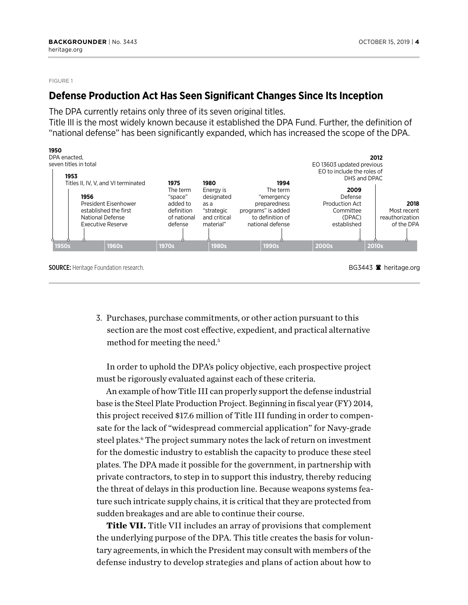#### FIGURE 1

### **Defense Production Act Has Seen Significant Changes Since Its Inception**

The DPA currently retains only three of its seven original titles.

Title III is the most widely known because it established the DPA Fund. Further, the definition of "national defense" has been significantly expanded, which has increased the scope of the DPA.



3. Purchases, purchase commitments, or other action pursuant to this section are the most cost effective, expedient, and practical alternative method for meeting the need.<sup>5</sup>

In order to uphold the DPA's policy objective, each prospective project must be rigorously evaluated against each of these criteria.

An example of how Title III can properly support the defense industrial base is the Steel Plate Production Project. Beginning in fiscal year (FY) 2014, this project received \$17.6 million of Title III funding in order to compensate for the lack of "widespread commercial application" for Navy-grade steel plates.<sup>6</sup> The project summary notes the lack of return on investment for the domestic industry to establish the capacity to produce these steel plates. The DPA made it possible for the government, in partnership with private contractors, to step in to support this industry, thereby reducing the threat of delays in this production line. Because weapons systems feature such intricate supply chains, it is critical that they are protected from sudden breakages and are able to continue their course.

**Title VII.** Title VII includes an array of provisions that complement the underlying purpose of the DPA. This title creates the basis for voluntary agreements, in which the President may consult with members of the defense industry to develop strategies and plans of action about how to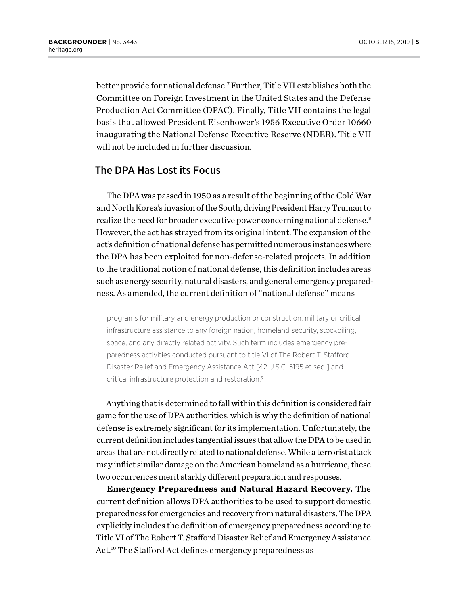better provide for national defense.7 Further, Title VII establishes both the Committee on Foreign Investment in the United States and the Defense Production Act Committee (DPAC). Finally, Title VII contains the legal basis that allowed President Eisenhower's 1956 Executive Order 10660 inaugurating the National Defense Executive Reserve (NDER). Title VII will not be included in further discussion.

### The DPA Has Lost its Focus

The DPA was passed in 1950 as a result of the beginning of the Cold War and North Korea's invasion of the South, driving President Harry Truman to realize the need for broader executive power concerning national defense.<sup>8</sup> However, the act has strayed from its original intent. The expansion of the act's definition of national defense has permitted numerous instances where the DPA has been exploited for non-defense-related projects. In addition to the traditional notion of national defense, this definition includes areas such as energy security, natural disasters, and general emergency preparedness. As amended, the current definition of "national defense" means

programs for military and energy production or construction, military or critical infrastructure assistance to any foreign nation, homeland security, stockpiling, space, and any directly related activity. Such term includes emergency preparedness activities conducted pursuant to title VI of The Robert T. Stafford Disaster Relief and Emergency Assistance Act [42 U.S.C. 5195 et seq.] and critical infrastructure protection and restoration.<sup>9</sup>

Anything that is determined to fall within this definition is considered fair game for the use of DPA authorities, which is why the definition of national defense is extremely significant for its implementation. Unfortunately, the current definition includes tangential issues that allow the DPA to be used in areas that are not directly related to national defense. While a terrorist attack may inflict similar damage on the American homeland as a hurricane, these two occurrences merit starkly different preparation and responses.

**Emergency Preparedness and Natural Hazard Recovery.** The current definition allows DPA authorities to be used to support domestic preparedness for emergencies and recovery from natural disasters. The DPA explicitly includes the definition of emergency preparedness according to Title VI of The Robert T. Stafford Disaster Relief and Emergency Assistance Act.<sup>10</sup> The Stafford Act defines emergency preparedness as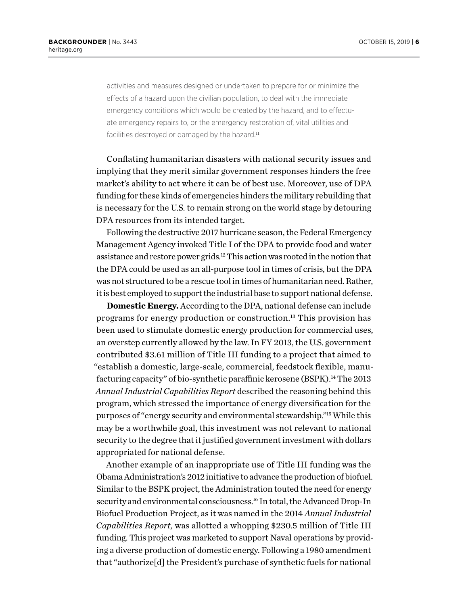activities and measures designed or undertaken to prepare for or minimize the effects of a hazard upon the civilian population, to deal with the immediate emergency conditions which would be created by the hazard, and to effectuate emergency repairs to, or the emergency restoration of, vital utilities and facilities destroyed or damaged by the hazard.<sup>11</sup>

Conflating humanitarian disasters with national security issues and implying that they merit similar government responses hinders the free market's ability to act where it can be of best use. Moreover, use of DPA funding for these kinds of emergencies hinders the military rebuilding that is necessary for the U.S. to remain strong on the world stage by detouring DPA resources from its intended target.

Following the destructive 2017 hurricane season, the Federal Emergency Management Agency invoked Title I of the DPA to provide food and water assistance and restore power grids.12 This action was rooted in the notion that the DPA could be used as an all-purpose tool in times of crisis, but the DPA was not structured to be a rescue tool in times of humanitarian need. Rather, it is best employed to support the industrial base to support national defense.

**Domestic Energy.** According to the DPA, national defense can include programs for energy production or construction.13 This provision has been used to stimulate domestic energy production for commercial uses, an overstep currently allowed by the law. In FY 2013, the U.S. government contributed \$3.61 million of Title III funding to a project that aimed to "establish a domestic, large-scale, commercial, feedstock flexible, manufacturing capacity" of bio-synthetic paraffinic kerosene (BSPK).<sup>14</sup> The 2013 *Annual Industrial Capabilities Report* described the reasoning behind this program, which stressed the importance of energy diversification for the purposes of "energy security and environmental stewardship."15 While this may be a worthwhile goal, this investment was not relevant to national security to the degree that it justified government investment with dollars appropriated for national defense.

Another example of an inappropriate use of Title III funding was the Obama Administration's 2012 initiative to advance the production of biofuel. Similar to the BSPK project, the Administration touted the need for energy security and environmental consciousness.<sup>16</sup> In total, the Advanced Drop-In Biofuel Production Project, as it was named in the 2014 *Annual Industrial Capabilities Report*, was allotted a whopping \$230.5 million of Title III funding. This project was marketed to support Naval operations by providing a diverse production of domestic energy. Following a 1980 amendment that "authorize[d] the President's purchase of synthetic fuels for national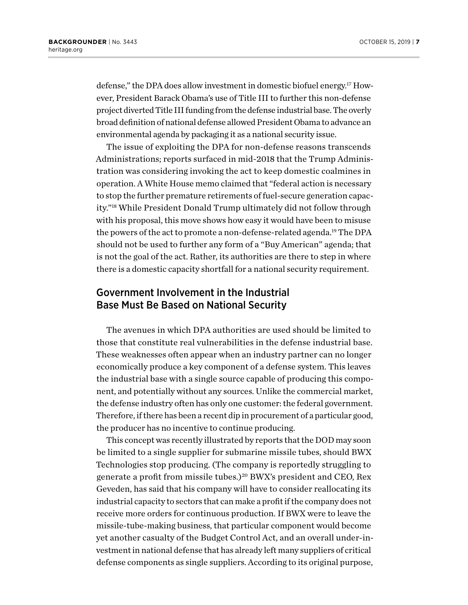defense," the DPA does allow investment in domestic biofuel energy.17 However, President Barack Obama's use of Title III to further this non-defense project diverted Title III funding from the defense industrial base. The overly broad definition of national defense allowed President Obama to advance an environmental agenda by packaging it as a national security issue.

The issue of exploiting the DPA for non-defense reasons transcends Administrations; reports surfaced in mid-2018 that the Trump Administration was considering invoking the act to keep domestic coalmines in operation. A White House memo claimed that "federal action is necessary to stop the further premature retirements of fuel-secure generation capacity."18 While President Donald Trump ultimately did not follow through with his proposal, this move shows how easy it would have been to misuse the powers of the act to promote a non-defense-related agenda.<sup>19</sup> The DPA should not be used to further any form of a "Buy American" agenda; that is not the goal of the act. Rather, its authorities are there to step in where there is a domestic capacity shortfall for a national security requirement.

# Government Involvement in the Industrial Base Must Be Based on National Security

The avenues in which DPA authorities are used should be limited to those that constitute real vulnerabilities in the defense industrial base. These weaknesses often appear when an industry partner can no longer economically produce a key component of a defense system. This leaves the industrial base with a single source capable of producing this component, and potentially without any sources. Unlike the commercial market, the defense industry often has only one customer: the federal government. Therefore, if there has been a recent dip in procurement of a particular good, the producer has no incentive to continue producing.

This concept was recently illustrated by reports that the DOD may soon be limited to a single supplier for submarine missile tubes, should BWX Technologies stop producing. (The company is reportedly struggling to generate a profit from missile tubes.)<sup>20</sup> BWX's president and CEO, Rex Geveden, has said that his company will have to consider reallocating its industrial capacity to sectors that can make a profit if the company does not receive more orders for continuous production. If BWX were to leave the missile-tube-making business, that particular component would become yet another casualty of the Budget Control Act, and an overall under-investment in national defense that has already left many suppliers of critical defense components as single suppliers. According to its original purpose,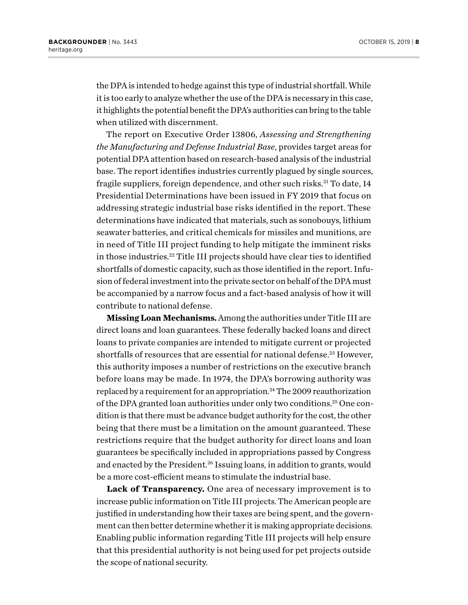the DPA is intended to hedge against this type of industrial shortfall. While it is too early to analyze whether the use of the DPA is necessary in this case, it highlights the potential benefit the DPA's authorities can bring to the table when utilized with discernment.

The report on Executive Order 13806, *Assessing and Strengthening the Manufacturing and Defense Industrial Base*, provides target areas for potential DPA attention based on research-based analysis of the industrial base. The report identifies industries currently plagued by single sources, fragile suppliers, foreign dependence, and other such risks.<sup>21</sup> To date, 14 Presidential Determinations have been issued in FY 2019 that focus on addressing strategic industrial base risks identified in the report. These determinations have indicated that materials, such as sonobouys, lithium seawater batteries, and critical chemicals for missiles and munitions, are in need of Title III project funding to help mitigate the imminent risks in those industries.22 Title III projects should have clear ties to identified shortfalls of domestic capacity, such as those identified in the report. Infusion of federal investment into the private sector on behalf of the DPA must be accompanied by a narrow focus and a fact-based analysis of how it will contribute to national defense.

**Missing Loan Mechanisms.** Among the authorities under Title III are direct loans and loan guarantees. These federally backed loans and direct loans to private companies are intended to mitigate current or projected shortfalls of resources that are essential for national defense.<sup>23</sup> However, this authority imposes a number of restrictions on the executive branch before loans may be made. In 1974, the DPA's borrowing authority was replaced by a requirement for an appropriation.<sup>24</sup> The 2009 reauthorization of the DPA granted loan authorities under only two conditions.25 One condition is that there must be advance budget authority for the cost, the other being that there must be a limitation on the amount guaranteed. These restrictions require that the budget authority for direct loans and loan guarantees be specifically included in appropriations passed by Congress and enacted by the President.<sup>26</sup> Issuing loans, in addition to grants, would be a more cost-efficient means to stimulate the industrial base.

**Lack of Transparency.** One area of necessary improvement is to increase public information on Title III projects. The American people are justified in understanding how their taxes are being spent, and the government can then better determine whether it is making appropriate decisions. Enabling public information regarding Title III projects will help ensure that this presidential authority is not being used for pet projects outside the scope of national security.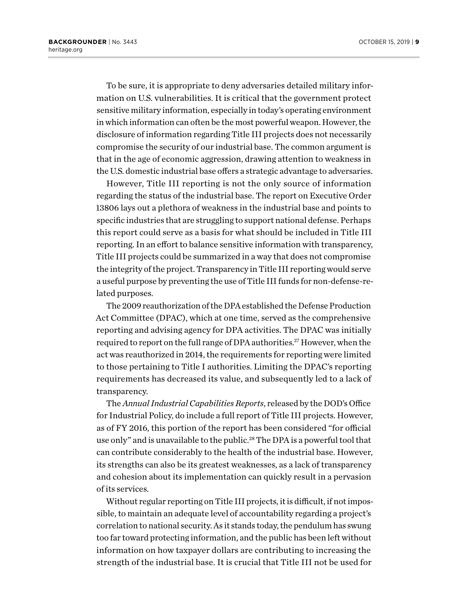To be sure, it is appropriate to deny adversaries detailed military information on U.S. vulnerabilities. It is critical that the government protect sensitive military information, especially in today's operating environment in which information can often be the most powerful weapon. However, the disclosure of information regarding Title III projects does not necessarily compromise the security of our industrial base. The common argument is that in the age of economic aggression, drawing attention to weakness in the U.S. domestic industrial base offers a strategic advantage to adversaries.

However, Title III reporting is not the only source of information regarding the status of the industrial base. The report on Executive Order 13806 lays out a plethora of weakness in the industrial base and points to specific industries that are struggling to support national defense. Perhaps this report could serve as a basis for what should be included in Title III reporting. In an effort to balance sensitive information with transparency, Title III projects could be summarized in a way that does not compromise the integrity of the project. Transparency in Title III reporting would serve a useful purpose by preventing the use of Title III funds for non-defense-related purposes.

The 2009 reauthorization of the DPA established the Defense Production Act Committee (DPAC), which at one time, served as the comprehensive reporting and advising agency for DPA activities. The DPAC was initially required to report on the full range of DPA authorities.<sup>27</sup> However, when the act was reauthorized in 2014, the requirements for reporting were limited to those pertaining to Title I authorities. Limiting the DPAC's reporting requirements has decreased its value, and subsequently led to a lack of transparency.

The *Annual Industrial Capabilities Reports*, released by the DOD's Office for Industrial Policy, do include a full report of Title III projects. However, as of FY 2016, this portion of the report has been considered "for official use only" and is unavailable to the public.<sup>28</sup> The DPA is a powerful tool that can contribute considerably to the health of the industrial base. However, its strengths can also be its greatest weaknesses, as a lack of transparency and cohesion about its implementation can quickly result in a pervasion of its services.

Without regular reporting on Title III projects, it is difficult, if not impossible, to maintain an adequate level of accountability regarding a project's correlation to national security. As it stands today, the pendulum has swung too far toward protecting information, and the public has been left without information on how taxpayer dollars are contributing to increasing the strength of the industrial base. It is crucial that Title III not be used for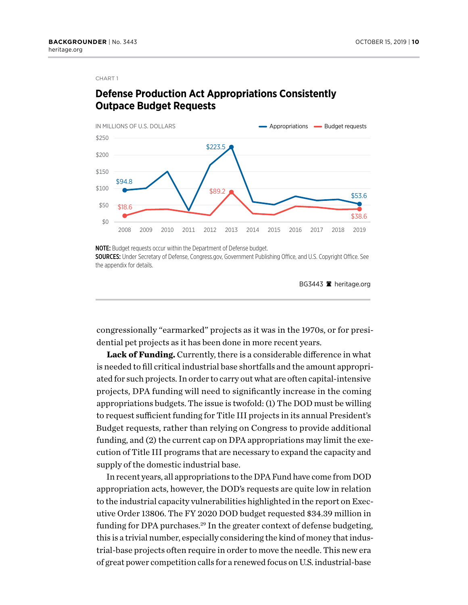#### CHART 1

# **Defense Production Act Appropriations Consistently Outpace Budget Requests**



NOTE: Budget requests occur within the Department of Defense budget.

SOURCES: Under Secretary of Defense, Congress.gov, Government Publishing Office, and U.S. Copyright Office. See the appendix for details.

BG3443  $\blacksquare$  heritage.org

congressionally "earmarked" projects as it was in the 1970s, or for presidential pet projects as it has been done in more recent years.

**Lack of Funding.** Currently, there is a considerable difference in what is needed to fill critical industrial base shortfalls and the amount appropriated for such projects. In order to carry out what are often capital-intensive projects, DPA funding will need to significantly increase in the coming appropriations budgets. The issue is twofold: (1) The DOD must be willing to request sufficient funding for Title III projects in its annual President's Budget requests, rather than relying on Congress to provide additional funding, and (2) the current cap on DPA appropriations may limit the execution of Title III programs that are necessary to expand the capacity and supply of the domestic industrial base.

In recent years, all appropriations to the DPA Fund have come from DOD appropriation acts, however, the DOD's requests are quite low in relation to the industrial capacity vulnerabilities highlighted in the report on Executive Order 13806. The FY 2020 DOD budget requested \$34.39 million in funding for DPA purchases.<sup>29</sup> In the greater context of defense budgeting, this is a trivial number, especially considering the kind of money that industrial-base projects often require in order to move the needle. This new era of great power competition calls for a renewed focus on U.S. industrial-base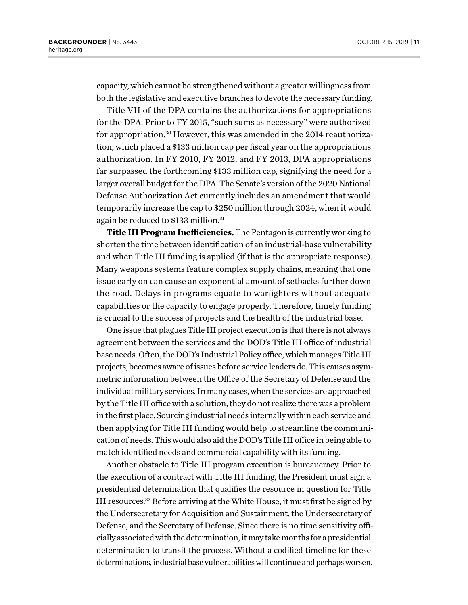capacity, which cannot be strengthened without a greater willingness from both the legislative and executive branches to devote the necessary funding.

Title VII of the DPA contains the authorizations for appropriations for the DPA. Prior to FY 2015, "such sums as necessary" were authorized for appropriation.30 However, this was amended in the 2014 reauthorization, which placed a \$133 million cap per fiscal year on the appropriations authorization. In FY 2010, FY 2012, and FY 2013, DPA appropriations far surpassed the forthcoming \$133 million cap, signifying the need for a larger overall budget for the DPA. The Senate's version of the 2020 National Defense Authorization Act currently includes an amendment that would temporarily increase the cap to \$250 million through 2024, when it would again be reduced to \$133 million.<sup>31</sup>

**Title III Program Inefficiencies.** The Pentagon is currently working to shorten the time between identification of an industrial-base vulnerability and when Title III funding is applied (if that is the appropriate response). Many weapons systems feature complex supply chains, meaning that one issue early on can cause an exponential amount of setbacks further down the road. Delays in programs equate to warfighters without adequate capabilities or the capacity to engage properly. Therefore, timely funding is crucial to the success of projects and the health of the industrial base.

One issue that plagues Title III project execution is that there is not always agreement between the services and the DOD's Title III office of industrial base needs. Often, the DOD's Industrial Policy office, which manages Title III projects, becomes aware of issues before service leaders do. This causes asymmetric information between the Office of the Secretary of Defense and the individual military services. In many cases, when the services are approached by the Title III office with a solution, they do not realize there was a problem in the first place. Sourcing industrial needs internally within each service and then applying for Title III funding would help to streamline the communication of needs. This would also aid the DOD's Title III office in being able to match identified needs and commercial capability with its funding.

Another obstacle to Title III program execution is bureaucracy. Prior to the execution of a contract with Title III funding, the President must sign a presidential determination that qualifies the resource in question for Title III resources.32 Before arriving at the White House, it must first be signed by the Undersecretary for Acquisition and Sustainment, the Undersecretary of Defense, and the Secretary of Defense. Since there is no time sensitivity officially associated with the determination, it may take months for a presidential determination to transit the process. Without a codified timeline for these determinations, industrial base vulnerabilities will continue and perhaps worsen.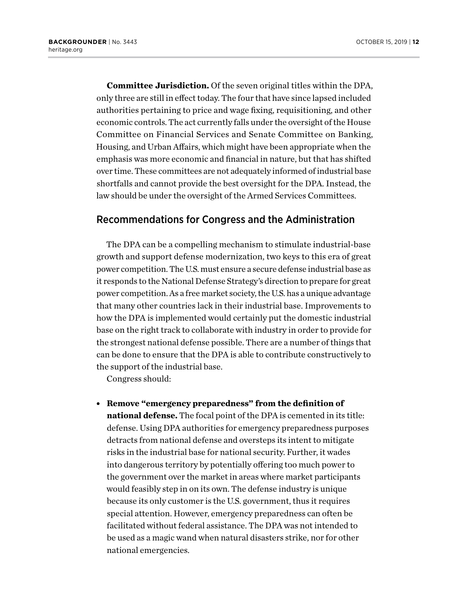**Committee Jurisdiction.** Of the seven original titles within the DPA, only three are still in effect today. The four that have since lapsed included authorities pertaining to price and wage fixing, requisitioning, and other economic controls. The act currently falls under the oversight of the House Committee on Financial Services and Senate Committee on Banking, Housing, and Urban Affairs, which might have been appropriate when the emphasis was more economic and financial in nature, but that has shifted over time. These committees are not adequately informed of industrial base shortfalls and cannot provide the best oversight for the DPA. Instead, the law should be under the oversight of the Armed Services Committees.

### Recommendations for Congress and the Administration

The DPA can be a compelling mechanism to stimulate industrial-base growth and support defense modernization, two keys to this era of great power competition. The U.S. must ensure a secure defense industrial base as it responds to the National Defense Strategy's direction to prepare for great power competition. As a free market society, the U.S. has a unique advantage that many other countries lack in their industrial base. Improvements to how the DPA is implemented would certainly put the domestic industrial base on the right track to collaborate with industry in order to provide for the strongest national defense possible. There are a number of things that can be done to ensure that the DPA is able to contribute constructively to the support of the industrial base.

Congress should:

<sup>l</sup> **Remove "emergency preparedness" from the definition of national defense.** The focal point of the DPA is cemented in its title: defense. Using DPA authorities for emergency preparedness purposes detracts from national defense and oversteps its intent to mitigate risks in the industrial base for national security. Further, it wades into dangerous territory by potentially offering too much power to the government over the market in areas where market participants would feasibly step in on its own. The defense industry is unique because its only customer is the U.S. government, thus it requires special attention. However, emergency preparedness can often be facilitated without federal assistance. The DPA was not intended to be used as a magic wand when natural disasters strike, nor for other national emergencies.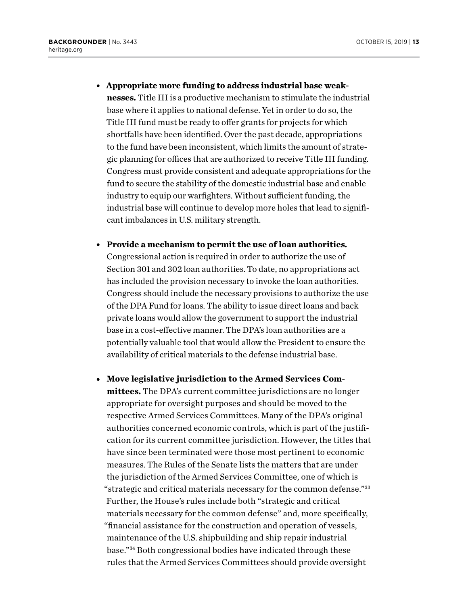**• Appropriate more funding to address industrial base weaknesses.** Title III is a productive mechanism to stimulate the industrial

base where it applies to national defense. Yet in order to do so, the Title III fund must be ready to offer grants for projects for which shortfalls have been identified. Over the past decade, appropriations to the fund have been inconsistent, which limits the amount of strategic planning for offices that are authorized to receive Title III funding. Congress must provide consistent and adequate appropriations for the fund to secure the stability of the domestic industrial base and enable industry to equip our warfighters. Without sufficient funding, the industrial base will continue to develop more holes that lead to significant imbalances in U.S. military strength.

- **Provide a mechanism to permit the use of loan authorities.** Congressional action is required in order to authorize the use of Section 301 and 302 loan authorities. To date, no appropriations act has included the provision necessary to invoke the loan authorities. Congress should include the necessary provisions to authorize the use of the DPA Fund for loans. The ability to issue direct loans and back private loans would allow the government to support the industrial base in a cost-effective manner. The DPA's loan authorities are a potentially valuable tool that would allow the President to ensure the availability of critical materials to the defense industrial base.
- Move legislative jurisdiction to the Armed Services Com**mittees.** The DPA's current committee jurisdictions are no longer appropriate for oversight purposes and should be moved to the respective Armed Services Committees. Many of the DPA's original authorities concerned economic controls, which is part of the justification for its current committee jurisdiction. However, the titles that have since been terminated were those most pertinent to economic measures. The Rules of the Senate lists the matters that are under the jurisdiction of the Armed Services Committee, one of which is "strategic and critical materials necessary for the common defense."33 Further, the House's rules include both "strategic and critical materials necessary for the common defense" and, more specifically, "financial assistance for the construction and operation of vessels, maintenance of the U.S. shipbuilding and ship repair industrial base."34 Both congressional bodies have indicated through these rules that the Armed Services Committees should provide oversight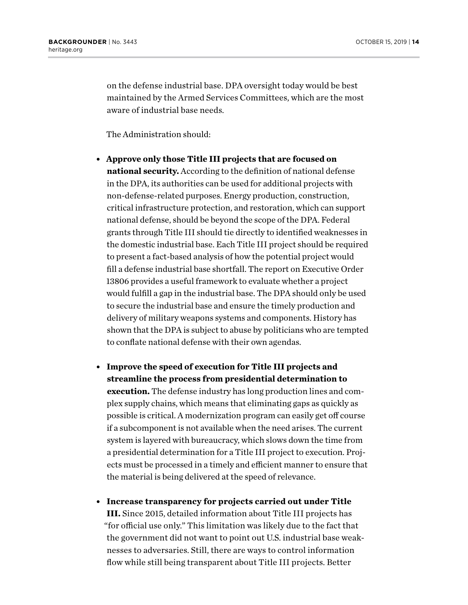on the defense industrial base. DPA oversight today would be best maintained by the Armed Services Committees, which are the most aware of industrial base needs.

The Administration should:

- **Approve only those Title III projects that are focused on national security.** According to the definition of national defense in the DPA, its authorities can be used for additional projects with non-defense-related purposes. Energy production, construction, critical infrastructure protection, and restoration, which can support national defense, should be beyond the scope of the DPA. Federal grants through Title III should tie directly to identified weaknesses in the domestic industrial base. Each Title III project should be required to present a fact-based analysis of how the potential project would fill a defense industrial base shortfall. The report on Executive Order 13806 provides a useful framework to evaluate whether a project would fulfill a gap in the industrial base. The DPA should only be used to secure the industrial base and ensure the timely production and delivery of military weapons systems and components. History has shown that the DPA is subject to abuse by politicians who are tempted to conflate national defense with their own agendas.
- <sup>l</sup> **Improve the speed of execution for Title III projects and streamline the process from presidential determination to execution.** The defense industry has long production lines and complex supply chains, which means that eliminating gaps as quickly as possible is critical. A modernization program can easily get off course if a subcomponent is not available when the need arises. The current system is layered with bureaucracy, which slows down the time from a presidential determination for a Title III project to execution. Projects must be processed in a timely and efficient manner to ensure that the material is being delivered at the speed of relevance.
- **Increase transparency for projects carried out under Title III.** Since 2015, detailed information about Title III projects has "for official use only." This limitation was likely due to the fact that the government did not want to point out U.S. industrial base weaknesses to adversaries. Still, there are ways to control information flow while still being transparent about Title III projects. Better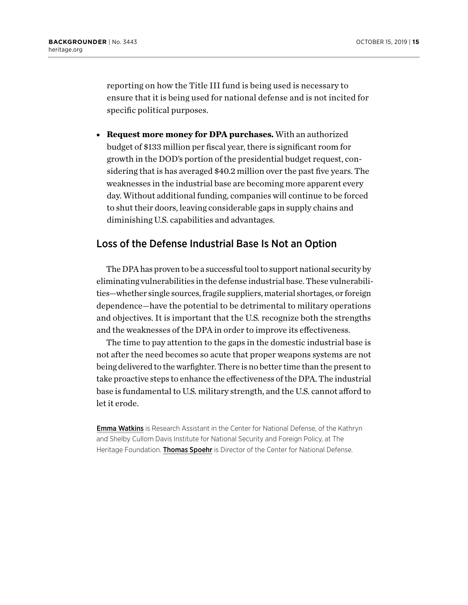reporting on how the Title III fund is being used is necessary to ensure that it is being used for national defense and is not incited for specific political purposes.

**• Request more money for DPA purchases.** With an authorized budget of \$133 million per fiscal year, there is significant room for growth in the DOD's portion of the presidential budget request, considering that is has averaged \$40.2 million over the past five years. The weaknesses in the industrial base are becoming more apparent every day. Without additional funding, companies will continue to be forced to shut their doors, leaving considerable gaps in supply chains and diminishing U.S. capabilities and advantages.

### Loss of the Defense Industrial Base Is Not an Option

The DPA has proven to be a successful tool to support national security by eliminating vulnerabilities in the defense industrial base. These vulnerabilities—whether single sources, fragile suppliers, material shortages, or foreign dependence—have the potential to be detrimental to military operations and objectives. It is important that the U.S. recognize both the strengths and the weaknesses of the DPA in order to improve its effectiveness.

The time to pay attention to the gaps in the domestic industrial base is not after the need becomes so acute that proper weapons systems are not being delivered to the warfighter. There is no better time than the present to take proactive steps to enhance the effectiveness of the DPA. The industrial base is fundamental to U.S. military strength, and the U.S. cannot afford to let it erode.

Emma Watkins is Research Assistant in the Center for National Defense, of the Kathryn and Shelby Cullom Davis Institute for National Security and Foreign Policy, at The Heritage Foundation. Thomas Spoehr is Director of the Center for National Defense.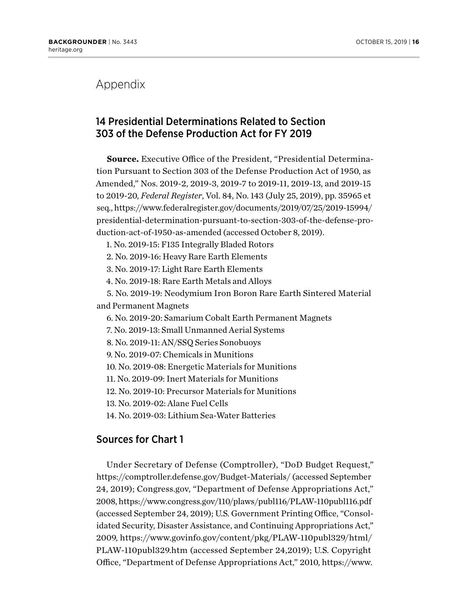# Appendix

# 14 Presidential Determinations Related to Section 303 of the Defense Production Act for FY 2019

**Source.** Executive Office of the President, "Presidential Determination Pursuant to Section 303 of the Defense Production Act of 1950, as Amended," Nos. 2019-2, 2019-3, 2019-7 to 2019-11, 2019-13, and 2019-15 to 2019-20, *Federal Register*, Vol. 84, No. 143 (July 25, 2019), pp. 35965 et seq., [https://www.federalregister.gov/documents/2019/07/25/2019-15994/](https://www.federalregister.gov/documents/2019/07/25/2019-15994/presidential-determination-pursuant-to-section-303-of-the-defense-production-act-of-1950-as-amended) [presidential-determination-pursuant-to-section-303-of-the-defense-pro](https://www.federalregister.gov/documents/2019/07/25/2019-15994/presidential-determination-pursuant-to-section-303-of-the-defense-production-act-of-1950-as-amended)[duction-act-of-1950-as-amended](https://www.federalregister.gov/documents/2019/07/25/2019-15994/presidential-determination-pursuant-to-section-303-of-the-defense-production-act-of-1950-as-amended) (accessed October 8, 2019).

1. No. 2019-15: F135 Integrally Bladed Rotors

2. No. 2019-16: Heavy Rare Earth Elements

3. No. 2019-17: Light Rare Earth Elements

4. No. 2019-18: Rare Earth Metals and Alloys

5. No. 2019-19: Neodymium Iron Boron Rare Earth Sintered Material and Permanent Magnets

6. No. 2019-20: Samarium Cobalt Earth Permanent Magnets

7. No. 2019-13: Small Unmanned Aerial Systems

8. No. 2019-11: AN/SSQ Series Sonobuoys

9. No. 2019-07: Chemicals in Munitions

10. No. 2019-08: Energetic Materials for Munitions

11. No. 2019-09: Inert Materials for Munitions

12. No. 2019-10: Precursor Materials for Munitions

13. No. 2019-02: Alane Fuel Cells

14. No. 2019-03: Lithium Sea-Water Batteries

## Sources for Chart 1

Under Secretary of Defense (Comptroller), "DoD Budget Request," <https://comptroller.defense.gov/Budget-Materials/> (accessed September 24, 2019); Congress.gov, "Department of Defense Appropriations Act," 2008,<https://www.congress.gov/110/plaws/publ116/PLAW-110publ116.pdf> (accessed September 24, 2019); U.S. Government Printing Office, "Consolidated Security, Disaster Assistance, and Continuing Appropriations Act," 2009, [https://www.govinfo.gov/content/pkg/PLAW-110publ329/html/](https://www.govinfo.gov/content/pkg/PLAW-110publ329/html/PLAW-110publ329.htm) [PLAW-110publ329.htm](https://www.govinfo.gov/content/pkg/PLAW-110publ329/html/PLAW-110publ329.htm) (accessed September 24,2019); U.S. Copyright Office, "Department of Defense Appropriations Act," 2010, [https://www.](https://www.copyright.gov/legislation/pl111-118.pdf)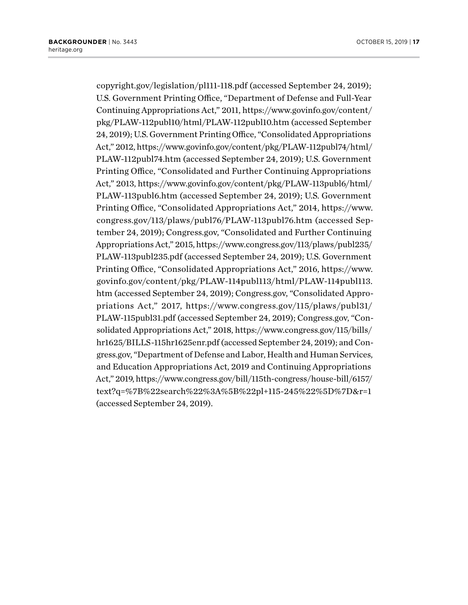[copyright.gov/legislation/pl111-118.pdf](https://www.copyright.gov/legislation/pl111-118.pdf) (accessed September 24, 2019); U.S. Government Printing Office, "Department of Defense and Full-Year Continuing Appropriations Act," 2011, [https://www.govinfo.gov/content/](https://www.govinfo.gov/content/pkg/PLAW-112publ10/html/PLAW-112publ10.htm) [pkg/PLAW-112publ10/html/PLAW-112publ10.htm](https://www.govinfo.gov/content/pkg/PLAW-112publ10/html/PLAW-112publ10.htm) (accessed September 24, 2019); U.S. Government Printing Office, "Consolidated Appropriations Act," 2012, [https://www.govinfo.gov/content/pkg/PLAW-112publ74/html/](https://www.govinfo.gov/content/pkg/PLAW-112publ74/html/PLAW-112publ74.htm) [PLAW-112publ74.htm](https://www.govinfo.gov/content/pkg/PLAW-112publ74/html/PLAW-112publ74.htm) (accessed September 24, 2019); U.S. Government Printing Office, "Consolidated and Further Continuing Appropriations Act," 2013, [https://www.govinfo.gov/content/pkg/PLAW-113publ6/html/](https://www.govinfo.gov/content/pkg/PLAW-113publ6/html/PLAW-113publ6.htm) [PLAW-113publ6.htm](https://www.govinfo.gov/content/pkg/PLAW-113publ6/html/PLAW-113publ6.htm) (accessed September 24, 2019); U.S. Government Printing Office, "Consolidated Appropriations Act," 2014, [https://www.](https://www.congress.gov/113/plaws/publ76/PLAW-113publ76.htm) [congress.gov/113/plaws/publ76/PLAW-113publ76.htm](https://www.congress.gov/113/plaws/publ76/PLAW-113publ76.htm) (accessed September 24, 2019); Congress.gov, "Consolidated and Further Continuing Appropriations Act," 2015, [https://www.congress.gov/113/plaws/publ235/](https://www.congress.gov/113/plaws/publ235/PLAW-113publ235.pdf) [PLAW-113publ235.pdf](https://www.congress.gov/113/plaws/publ235/PLAW-113publ235.pdf) (accessed September 24, 2019); U.S. Government Printing Office, "Consolidated Appropriations Act," 2016, [https://www.](https://www.govinfo.gov/content/pkg/PLAW-114publ113/html/PLAW-114publ113.htm) [govinfo.gov/content/pkg/PLAW-114publ113/html/PLAW-114publ113.](https://www.govinfo.gov/content/pkg/PLAW-114publ113/html/PLAW-114publ113.htm) [htm](https://www.govinfo.gov/content/pkg/PLAW-114publ113/html/PLAW-114publ113.htm) (accessed September 24, 2019); Congress.gov, "Consolidated Appropriations Act," 2017, [https://www.congress.gov/115/plaws/publ31/](https://www.congress.gov/115/plaws/publ31/PLAW-115publ31.pdf) [PLAW-115publ31.pdf](https://www.congress.gov/115/plaws/publ31/PLAW-115publ31.pdf) (accessed September 24, 2019); Congress.gov, "Consolidated Appropriations Act," 2018, [https://www.congress.gov/115/bills/](https://www.congress.gov/115/bills/hr1625/BILLS-115hr1625enr.pdf) [hr1625/BILLS-115hr1625enr.pdf](https://www.congress.gov/115/bills/hr1625/BILLS-115hr1625enr.pdf) (accessed September 24, 2019); and Congress.gov, "Department of Defense and Labor, Health and Human Services, and Education Appropriations Act, 2019 and Continuing Appropriations Act," 2019, [https://www.congress.gov/bill/115th-congress/house-bill/6157/](https://www.congress.gov/bill/115th-congress/house-bill/6157/text?q=%7B%22search%22%3A%5B%22pl+115-245%22%5D%7D&r=1%20) [text?q=%7B%22search%22%3A%5B%22pl+115-245%22%5D%7D&r=1](https://www.congress.gov/bill/115th-congress/house-bill/6157/text?q=%7B%22search%22%3A%5B%22pl+115-245%22%5D%7D&r=1%20) (accessed September 24, 2019).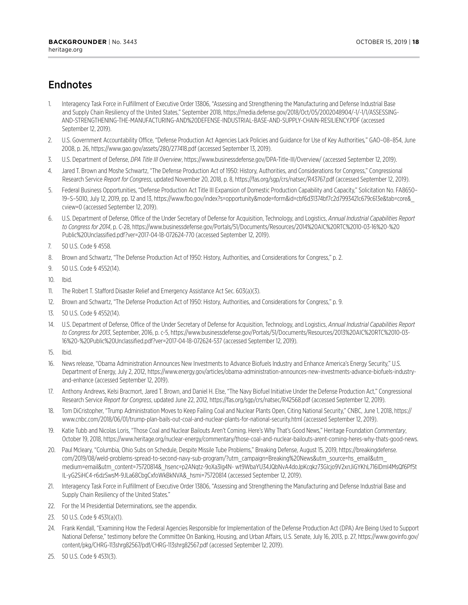# Endnotes

- 1. Interagency Task Force in Fulfillment of Executive Order 13806, "Assessing and Strengthening the Manufacturing and Defense Industrial Base and Supply Chain Resiliency of the United States," September 2018, [https://media.defense.gov/2018/Oct/05/2002048904/-1/-1/1/ASSESSING-](https://media.defense.gov/2018/Oct/05/2002048904/-1/-1/1/ASSESSING-AND-STRENGTHENING-THE-MANUFACTURING-AND%20DEFENSE-INDUSTRIAL-BASE-AND-SUPPLY-CHAIN-RESILIENCY.PDF)[AND-STRENGTHENING-THE-MANUFACTURING-AND%20DEFENSE-INDUSTRIAL-BASE-AND-SUPPLY-CHAIN-RESILIENCY.PDF](https://media.defense.gov/2018/Oct/05/2002048904/-1/-1/1/ASSESSING-AND-STRENGTHENING-THE-MANUFACTURING-AND%20DEFENSE-INDUSTRIAL-BASE-AND-SUPPLY-CHAIN-RESILIENCY.PDF) (accessed September 12, 2019).
- 2. U.S. Government Accountability Office, "Defense Production Act Agencies Lack Policies and Guidance for Use of Key Authorities*,*" GAO–08–854, June 2008, p. 26, <https://www.gao.gov/assets/280/277418.pdf>(accessed September 13, 2019).
- 3. U.S. Department of Defense, *DPA Title III Overview*,<https://www.businessdefense.gov/DPA-Title-III/Overview/>(accessed September 12, 2019).
- 4. Jared T. Brown and Moshe Schwartz, "The Defense Production Act of 1950: History, Authorities, and Considerations for Congress," Congressional Research Service *Report for Congress*, updated November 20, 2018, p. 8, <https://fas.org/sgp/crs/natsec/R43767.pdf> (accessed September 12, 2019).
- 5. Federal Business Opportunities, "Defense Production Act Title III Expansion of Domestic Production Capability and Capacity," Solicitation No. FA8650– 19–S–5010, July 12, 2019, pp. 12 and 13, [https://www.fbo.gov/index?s=opportunity&mode=form&id=cbf6d31374bf7c2d7993421c679c613e&tab=core&\\_](https://www.fbo.gov/index?s=opportunity&mode=form&id=cbf6d31374bf7c2d7993421c679c613e&tab=core&_cview=0) [cview=0](https://www.fbo.gov/index?s=opportunity&mode=form&id=cbf6d31374bf7c2d7993421c679c613e&tab=core&_cview=0) (accessed September 12, 2019).
- 6. U.S. Department of Defense, Office of the Under Secretary of Defense for Acquisition, Technology, and Logistics, *Annual Industrial Capabilities Report to Congress for 2014*, p. C-28, [https://www.businessdefense.gov/Portals/51/Documents/Resources/2014%20AIC%20RTC%2010-03-16%20-%20](https://www.businessdefense.gov/Portals/51/Documents/Resources/2014%20AIC%20RTC%2010-03-16%20-%20Public%20Unclassified.pdf?ver=2017-04-18-072624-770) [Public%20Unclassified.pdf?ver=2017-04-18-072624-770](https://www.businessdefense.gov/Portals/51/Documents/Resources/2014%20AIC%20RTC%2010-03-16%20-%20Public%20Unclassified.pdf?ver=2017-04-18-072624-770) (accessed September 12, 2019).
- 7. 50 U.S. Code § 4558.
- 8. Brown and Schwartz, "The Defense Production Act of 1950: History, Authorities, and Considerations for Congress," p. 2.
- 9. 50 U.S. Code § 4552(14).
- 10. Ibid.
- 11. The Robert T. Stafford Disaster Relief and Emergency Assistance Act Sec. 603(a)(3).
- 12. Brown and Schwartz, "The Defense Production Act of 1950: History, Authorities, and Considerations for Congress," p. 9.
- 13. 50 U.S. Code § 4552(14).
- 14. U.S. Department of Defense, Office of the Under Secretary of Defense for Acquisition, Technology, and Logistics, *Annual Industrial Capabilities Report to Congress for 2013*, September, 2016, p. c-5, [https://www.businessdefense.gov/Portals/51/Documents/Resources/2013%20AIC%20RTC%2010-03-](https://www.businessdefense.gov/Portals/51/Documents/Resources/2013%20AIC%20RTC%2010-03-16%20-%20Public%20Unclassified.pdf?ver=2017-04-18-072624-537) [16%20-%20Public%20Unclassified.pdf?ver=2017-04-18-072624-537](https://www.businessdefense.gov/Portals/51/Documents/Resources/2013%20AIC%20RTC%2010-03-16%20-%20Public%20Unclassified.pdf?ver=2017-04-18-072624-537) (accessed September 12, 2019).
- 15. Ibid.
- 16. News release, "Obama Administration Announces New Investments to Advance Biofuels Industry and Enhance America's Energy Security," U.S. Department of Energy, July 2, 2012, [https://www.energy.gov/articles/obama-administration-announces-new-investments-advance-biofuels-industry](https://www.energy.gov/articles/obama-administration-announces-new-investments-advance-biofuels-industry-and-enhance)[and-enhance](https://www.energy.gov/articles/obama-administration-announces-new-investments-advance-biofuels-industry-and-enhance) (accessed September 12, 2019).
- 17. Anthony Andrews, Kelsi Bracmort, Jared T. Brown, and Daniel H. Else, "The Navy Biofuel Initiative Under the Defense Production Act," Congressional Research Service *Report for Congress*, updated June 22, 2012,<https://fas.org/sgp/crs/natsec/R42568.pdf> (accessed September 12, 2019).
- 18. Tom DiCristopher, "Trump Administration Moves to Keep Failing Coal and Nuclear Plants Open, Citing National Security," CNBC, June 1, 2018, [https://](https://www.cnbc.com/2018/06/01/trump-plan-bails-out-coal-and-nuclear-plants-for-national-security.html) [www.cnbc.com/2018/06/01/trump-plan-bails-out-coal-and-nuclear-plants-for-national-security.html](https://www.cnbc.com/2018/06/01/trump-plan-bails-out-coal-and-nuclear-plants-for-national-security.html) (accessed September 12, 2019).
- 19. Katie Tubb and Nicolas Loris, "Those Coal and Nuclear Bailouts Aren't Coming. Here's Why That's Good News," Heritage Foundation *Commentary*, October 19, 2018, [https://www.heritage.org/nuclear-energy/commentary/those-coal-and-nuclear-bailouts-arent-coming-heres-why-thats-good-news.](https://www.heritage.org/nuclear-energy/commentary/those-coal-and-nuclear-bailouts-arent-coming-heres-why-thats-good-news)
- 20. Paul Mcleary, "Columbia, Ohio Subs on Schedule, Despite Missile Tube Problems," Breaking Defense, August 15, 2019, [https://breakingdefense.](https://breakingdefense.com/2019/08/weld-problems-spread-to-second-navy-sub-program/?utm_campaign=Breaking%20News&utm_source=hs_email&utm_medium=email&utm_content=75720814&_hsenc=p2ANqtz-9oXa3Ig4N-%20wt9WbaYU34JQbNvA4doJpKcqkz73Glcjo9V2xnJiGYKhL716IDml4MsQf6Pf5tIL-yG2SiHC4-r6dzSwsM-9JLa68CbgCxfoWkBkNVA&_hsmi=75720814) [com/2019/08/weld-problems-spread-to-second-navy-sub-program/?utm\\_campaign=Breaking%20News&utm\\_source=hs\\_email&utm\\_](https://breakingdefense.com/2019/08/weld-problems-spread-to-second-navy-sub-program/?utm_campaign=Breaking%20News&utm_source=hs_email&utm_medium=email&utm_content=75720814&_hsenc=p2ANqtz-9oXa3Ig4N-%20wt9WbaYU34JQbNvA4doJpKcqkz73Glcjo9V2xnJiGYKhL716IDml4MsQf6Pf5tIL-yG2SiHC4-r6dzSwsM-9JLa68CbgCxfoWkBkNVA&_hsmi=75720814) [medium=email&utm\\_content=75720814&\\_hsenc=p2ANqtz-9oXa3Ig4N- wt9WbaYU34JQbNvA4doJpKcqkz73Glcjo9V2xnJiGYKhL716IDml4MsQf6Pf5t](https://breakingdefense.com/2019/08/weld-problems-spread-to-second-navy-sub-program/?utm_campaign=Breaking%20News&utm_source=hs_email&utm_medium=email&utm_content=75720814&_hsenc=p2ANqtz-9oXa3Ig4N-%20wt9WbaYU34JQbNvA4doJpKcqkz73Glcjo9V2xnJiGYKhL716IDml4MsQf6Pf5tIL-yG2SiHC4-r6dzSwsM-9JLa68CbgCxfoWkBkNVA&_hsmi=75720814) [IL-yG2SiHC4-r6dzSwsM-9JLa68CbgCxfoWkBkNVA&\\_hsmi=75720814](https://breakingdefense.com/2019/08/weld-problems-spread-to-second-navy-sub-program/?utm_campaign=Breaking%20News&utm_source=hs_email&utm_medium=email&utm_content=75720814&_hsenc=p2ANqtz-9oXa3Ig4N-%20wt9WbaYU34JQbNvA4doJpKcqkz73Glcjo9V2xnJiGYKhL716IDml4MsQf6Pf5tIL-yG2SiHC4-r6dzSwsM-9JLa68CbgCxfoWkBkNVA&_hsmi=75720814) (accessed September 12, 2019).
- 21. Interagency Task Force in Fulfillment of Executive Order 13806, "Assessing and Strengthening the Manufacturing and Defense Industrial Base and Supply Chain Resiliency of the United States."
- 22. For the 14 Presidential Determinations, see the appendix.
- 23. 50 U.S. Code § 4531(a)(1).
- 24. Frank Kendall, "Examining How the Federal Agencies Responsible for Implementation of the Defense Production Act (DPA) Are Being Used to Support National Defense," testimony before the Committee On Banking, Housing, and Urban Affairs, U.S. Senate, July 16, 2013, p. 27, [https://www.govinfo.gov/](https://www.govinfo.gov/content/pkg/CHRG-113shrg82567/pdf/CHRG-113shrg82567.pdf) [content/pkg/CHRG-113shrg82567/pdf/CHRG-113shrg82567.pdf](https://www.govinfo.gov/content/pkg/CHRG-113shrg82567/pdf/CHRG-113shrg82567.pdf) (accessed September 12, 2019).
- 25. 50 U.S. Code § 4531(3).